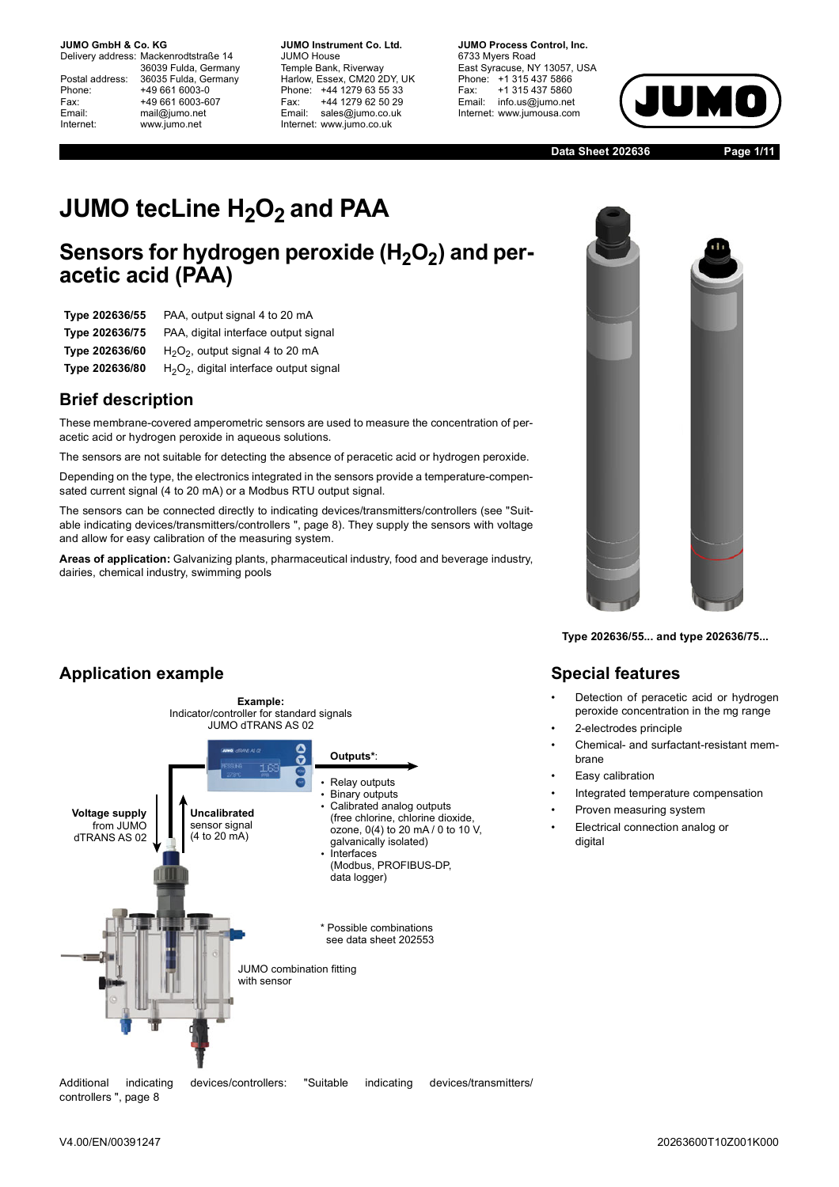Delivery address: Mackenrodtstraße 14 36039 Fulda, Germany Postal address: 36035 Fulda, Germany<br>Phone: +49 661 6003-0 Phone: +49 661 6003-0<br>Fax: +49 661 6003-6 Fax: +49 661 6003-607<br>
Fmail: mail@iumo.net mail@jumo.net Internet: www.jumo.net

**-BUMO Instrument Co. Ltd.** JUMO House Temple Bank, Riverway Harlow, Essex, CM20 2DY, UK Phone: +44 1279 63 55 33<br>Fax: +44 1279 62 50 29 Fax: +44 1279 62 50 29<br>Email: sales@iumo.co.uk sales@jumo.co.uk Internet: www.jumo.co.uk

**JUMO Process Control, Inc.** 6733 Mvers Road East Syracuse, NY 13057, USA Phone: +1 315 437 5866<br>Fax: +1 315 437 5860 Fax: +1 315 437 5860<br>Email: info.us@jumo.net info.us@jumo.net Internet: www.jumousa.com



**Data Sheet 202636 Page 1/11**

# **JUMO tecLine H<sub>2</sub>O<sub>2</sub> and PAA**

## Sensors for hydrogen peroxide (H<sub>2</sub>O<sub>2</sub>) and per**acetic acid (PAA)**

| Type 202636/55 | PAA, output signal 4 to 20 mA              |
|----------------|--------------------------------------------|
| Type 202636/75 | PAA, digital interface output signal       |
| Type 202636/60 | $H2O2$ , output signal 4 to 20 mA          |
| Type 202636/80 | $H_2O_2$ , digital interface output signal |
|                |                                            |

### **Brief description**

These membrane-covered amperometric sensors are used to measure the concentration of peracetic acid or hydrogen peroxide in aqueous solutions.

The sensors are not suitable for detecting the absence of peracetic acid or hydrogen peroxide.

Depending on the type, the electronics integrated in the sensors provide a temperature-compensated current signal (4 to 20 mA) or a Modbus RTU output signal.

The sensors can be connected directly to indicating devices/transmitters/controllers (see "[Suit](#page-7-0)[able indicating devices/transmitters/controllers](#page-7-0) ", page [8\)](#page-7-0). They supply the sensors with voltage and allow for easy calibration of the measuring system.

**Areas of application:** Galvanizing plants, pharmaceutical industry, food and beverage industry, dairies, chemical industry, swimming pools

#### **Application example Voltage supply** from JUMO dTRANS AS 02 **Outputs\***: **Example:** Indicator/controller for standard signals JUMO dTRANS AS 02 \* Possible combinations see data sheet 202553 Relay outputs - Binary outputs - Calibrated analog outputs (free chlorine, chlorine dioxide, ozone, 0(4) to 20 mA / 0 to 10 V, galvanically isolated) **Interfaces** (Modbus, PROFIBUS-DP, data logger) **Uncalibrated** sensor signal  $(4 \text{ to } 20 \text{ mA})$ JUMO combination fitting with sensor

Additional indicating devices/controllers: ["Suitable indicating devices/transmitters/](#page-7-0) [controllers](#page-7-0) ", page [8](#page-7-0)



**Type 202636/55... and type 202636/75...**

### **Special features**

- Detection of peracetic acid or hydrogen peroxide concentration in the mg range
- 2-electrodes principle
- Chemical- and surfactant-resistant membrane
- Easy calibration
- Integrated temperature compensation
- Proven measuring system
- Electrical connection analog or digital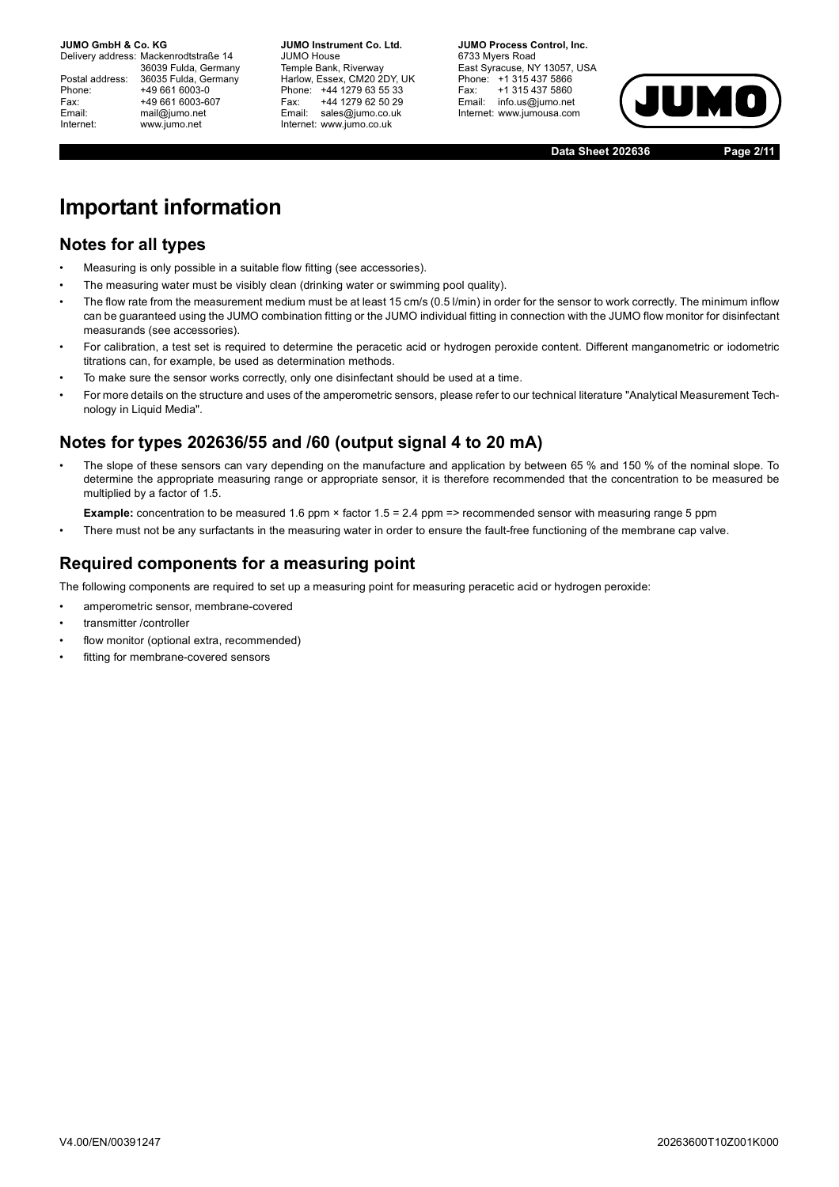Delivery address: Mackenrodtstraße 14 36039 Fulda, Germany Postal address: 36035 Fulda, Germany<br>Phone: +49 661 6003-0 Phone: +49 661 6003-0<br>Fax: +49 661 6003-6 Fax: +49 661 6003-607<br>
Fmail: mail@iumo.net mail@jumo.net Internet: www.jumo.net

**-BUMO Instrument Co. Ltd.** JUMO House Temple Bank, Riverway Harlow, Essex, CM20 2DY, UK Phone: +44 1279 63 55 33<br>Fax: +44 1279 62 50 29 Fax: +44 1279 62 50 29<br>Email: sales@iumo.co.uk sales@jumo.co.uk Internet: www.jumo.co.uk

**-BURG Process Control Inc.** 6733 Mvers Road East Syracuse, NY 13057, USA Phone: +1 315 437 5866<br>Fax: +1 315 437 5860 Fax: +1 315 437 5860<br>Email: info.us@jumo.net info.us@jumo.net Internet: www.jumousa.com



**Data Sheet 202636 Page 2/11**

# **Important information**

### **Notes for all types**

- Measuring is only possible in a suitable flow fitting (see accessories).
- The measuring water must be visibly clean (drinking water or swimming pool quality).
- The flow rate from the measurement medium must be at least 15 cm/s (0.5 l/min) in order for the sensor to work correctly. The minimum inflow can be guaranteed using the JUMO combination fitting or the JUMO individual fitting in connection with the JUMO flow monitor for disinfectant measurands (see accessories).
- For calibration, a test set is required to determine the peracetic acid or hydrogen peroxide content. Different manganometric or iodometric titrations can, for example, be used as determination methods.
- To make sure the sensor works correctly, only one disinfectant should be used at a time.
- For more details on the structure and uses of the amperometric sensors, please refer to our technical literature "Analytical Measurement Technology in Liquid Media".

### **Notes for types 202636/55 and /60 (output signal 4 to 20 mA)**

• The slope of these sensors can vary depending on the manufacture and application by between 65 % and 150 % of the nominal slope. To determine the appropriate measuring range or appropriate sensor, it is therefore recommended that the concentration to be measured be multiplied by a factor of 1.5.

**Example:** concentration to be measured 1.6 ppm × factor 1.5 = 2.4 ppm => recommended sensor with measuring range 5 ppm

There must not be any surfactants in the measuring water in order to ensure the fault-free functioning of the membrane cap valve.

### **Required components for a measuring point**

The following components are required to set up a measuring point for measuring peracetic acid or hydrogen peroxide:

- amperometric sensor, membrane-covered
- transmitter /controller
- flow monitor (optional extra, recommended)
- fitting for membrane-covered sensors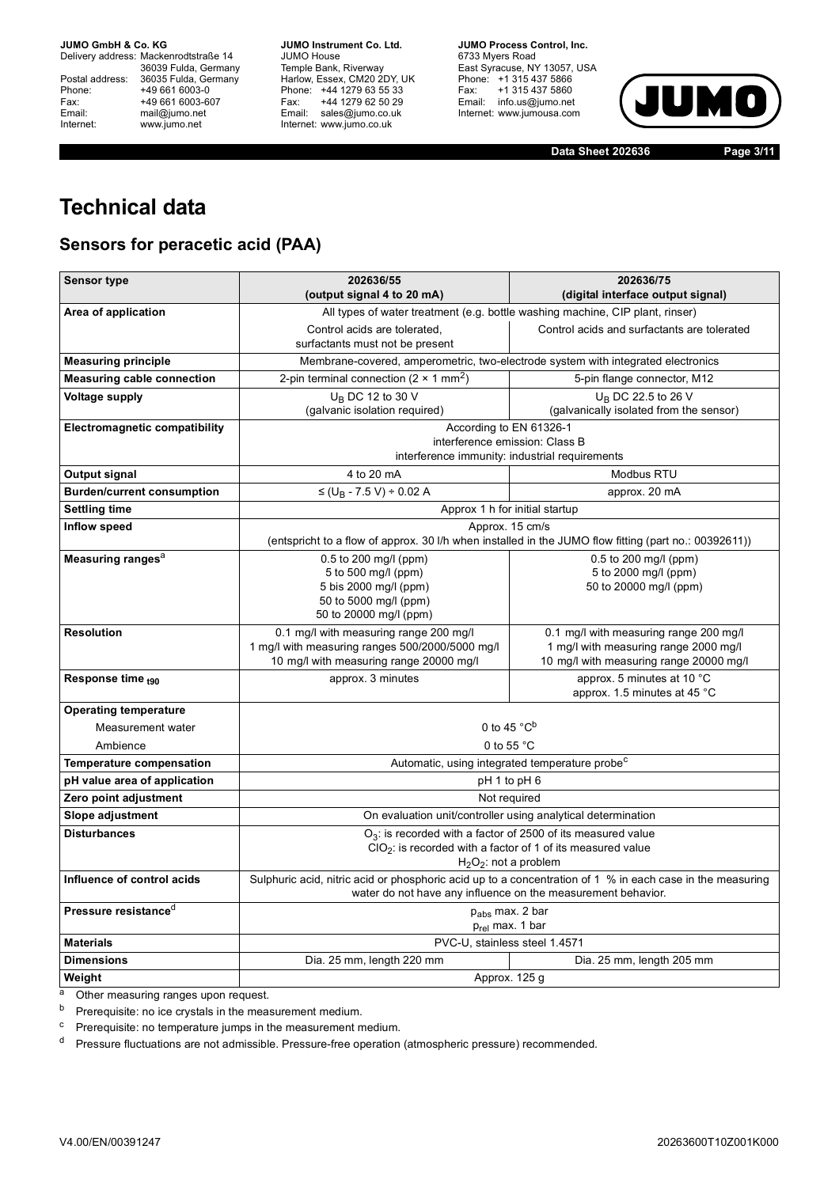Delivery address: Mackenrodtstraße 14 36039 Fulda, Germany<br>Postal address: 36035 Fulda, Germany Phone: +49 661 6003-0<br>
Fax: +49 661 6003-6<br>
Email: mail@jumo.net +49 661 6003-607 Email: mail@jumo.net<br>Internet: www.iumo.net www.jumo.net

**JUMO Instrument Co. Ltd.** JUMO House Temple Bank, Riverway<br>Harlow, Essex, CM20 2DY, UK Phone: +44 1279 63 55 33<br>Fax: +44 1279 62 50 29 +44 1279 62 50 29 Email: sales@jumo.co.uk Internet: www.jumo.co.uk

**JUMO Process Control, Inc.** 6733 Myers Road East Syracuse, NY 13057, USA Phone: +1 315 437 5866<br>Fax: +1 315 437 5860 Email: info.us@jumo.net Internet: www.jumousa.com



**Data Sheet 202636 Page 3/11**

# **Technical data**

## **Sensors for peracetic acid (PAA)**

| <b>Sensor type</b>                   | 202636/75<br>202636/55                                                                                                                                                    |                                         |  |  |
|--------------------------------------|---------------------------------------------------------------------------------------------------------------------------------------------------------------------------|-----------------------------------------|--|--|
| Area of application                  | (output signal 4 to 20 mA)<br>(digital interface output signal)<br>All types of water treatment (e.g. bottle washing machine, CIP plant, rinser)                          |                                         |  |  |
|                                      | Control acids are tolerated.<br>Control acids and surfactants are tolerated                                                                                               |                                         |  |  |
|                                      | surfactants must not be present                                                                                                                                           |                                         |  |  |
| <b>Measuring principle</b>           | Membrane-covered, amperometric, two-electrode system with integrated electronics                                                                                          |                                         |  |  |
| <b>Measuring cable connection</b>    | 2-pin terminal connection (2 $\times$ 1 mm <sup>2</sup> )                                                                                                                 | 5-pin flange connector, M12             |  |  |
| <b>Voltage supply</b>                | U <sub>B</sub> DC 12 to 30 V                                                                                                                                              | $U_B$ DC 22.5 to 26 V                   |  |  |
|                                      | (galvanic isolation required)                                                                                                                                             | (galvanically isolated from the sensor) |  |  |
| <b>Electromagnetic compatibility</b> | According to EN 61326-1                                                                                                                                                   |                                         |  |  |
|                                      | interference emission: Class B<br>interference immunity: industrial requirements                                                                                          |                                         |  |  |
| Output signal                        | 4 to 20 mA                                                                                                                                                                | Modbus RTU                              |  |  |
| <b>Burden/current consumption</b>    | $\leq$ (U <sub>B</sub> - 7.5 V) ÷ 0.02 A                                                                                                                                  | approx. 20 mA                           |  |  |
| <b>Settling time</b>                 | Approx 1 h for initial startup                                                                                                                                            |                                         |  |  |
| Inflow speed                         | Approx. 15 cm/s                                                                                                                                                           |                                         |  |  |
|                                      | (entspricht to a flow of approx. 30 I/h when installed in the JUMO flow fitting (part no.: 00392611))                                                                     |                                         |  |  |
| Measuring ranges <sup>a</sup>        | 0.5 to 200 mg/l (ppm)                                                                                                                                                     | 0.5 to 200 mg/l (ppm)                   |  |  |
|                                      | 5 to 500 mg/l (ppm)                                                                                                                                                       | 5 to 2000 mg/l (ppm)                    |  |  |
|                                      | 5 bis 2000 mg/l (ppm)<br>50 to 5000 mg/l (ppm)                                                                                                                            | 50 to 20000 mg/l (ppm)                  |  |  |
|                                      | 50 to 20000 mg/l (ppm)                                                                                                                                                    |                                         |  |  |
| <b>Resolution</b>                    | 0.1 mg/l with measuring range 200 mg/l<br>0.1 mg/l with measuring range 200 mg/l                                                                                          |                                         |  |  |
|                                      | 1 mg/l with measuring ranges 500/2000/5000 mg/l                                                                                                                           | 1 mg/l with measuring range 2000 mg/l   |  |  |
|                                      | 10 mg/l with measuring range 20000 mg/l<br>10 mg/l with measuring range 20000 mg/l                                                                                        |                                         |  |  |
| Response time <sub>t90</sub>         | approx. 3 minutes<br>approx. 5 minutes at 10 °C<br>approx. 1.5 minutes at 45 °C                                                                                           |                                         |  |  |
| <b>Operating temperature</b>         |                                                                                                                                                                           |                                         |  |  |
| Measurement water                    | 0 to 45 $^{\circ}$ C <sup>b</sup>                                                                                                                                         |                                         |  |  |
| Ambience                             | 0 to 55 °C                                                                                                                                                                |                                         |  |  |
| <b>Temperature compensation</b>      | Automatic, using integrated temperature probe <sup>c</sup>                                                                                                                |                                         |  |  |
| pH value area of application         | pH 1 to pH 6                                                                                                                                                              |                                         |  |  |
| Zero point adjustment                | Not required                                                                                                                                                              |                                         |  |  |
| Slope adjustment                     | On evaluation unit/controller using analytical determination                                                                                                              |                                         |  |  |
| <b>Disturbances</b>                  | $O_3$ : is recorded with a factor of 2500 of its measured value                                                                                                           |                                         |  |  |
|                                      | $ClO2$ : is recorded with a factor of 1 of its measured value                                                                                                             |                                         |  |  |
|                                      | $H_2O_2$ : not a problem                                                                                                                                                  |                                         |  |  |
| Influence of control acids           | Sulphuric acid, nitric acid or phosphoric acid up to a concentration of 1 % in each case in the measuring<br>water do not have any influence on the measurement behavior. |                                         |  |  |
| Pressure resistance <sup>d</sup>     | p <sub>abs</sub> max. 2 bar<br>$p_{rel}$ max. 1 bar                                                                                                                       |                                         |  |  |
| <b>Materials</b>                     | PVC-U, stainless steel 1.4571                                                                                                                                             |                                         |  |  |
| <b>Dimensions</b>                    | Dia. 25 mm, length 220 mm<br>Dia. 25 mm, length 205 mm                                                                                                                    |                                         |  |  |
| Weight                               | Approx. 125 g                                                                                                                                                             |                                         |  |  |

a Other measuring ranges upon request.

 $b$  Prerequisite: no ice crystals in the measurement medium.

<sup>c</sup> Prerequisite: no temperature jumps in the measurement medium.

<sup>d</sup> Pressure fluctuations are not admissible. Pressure-free operation (atmospheric pressure) recommended.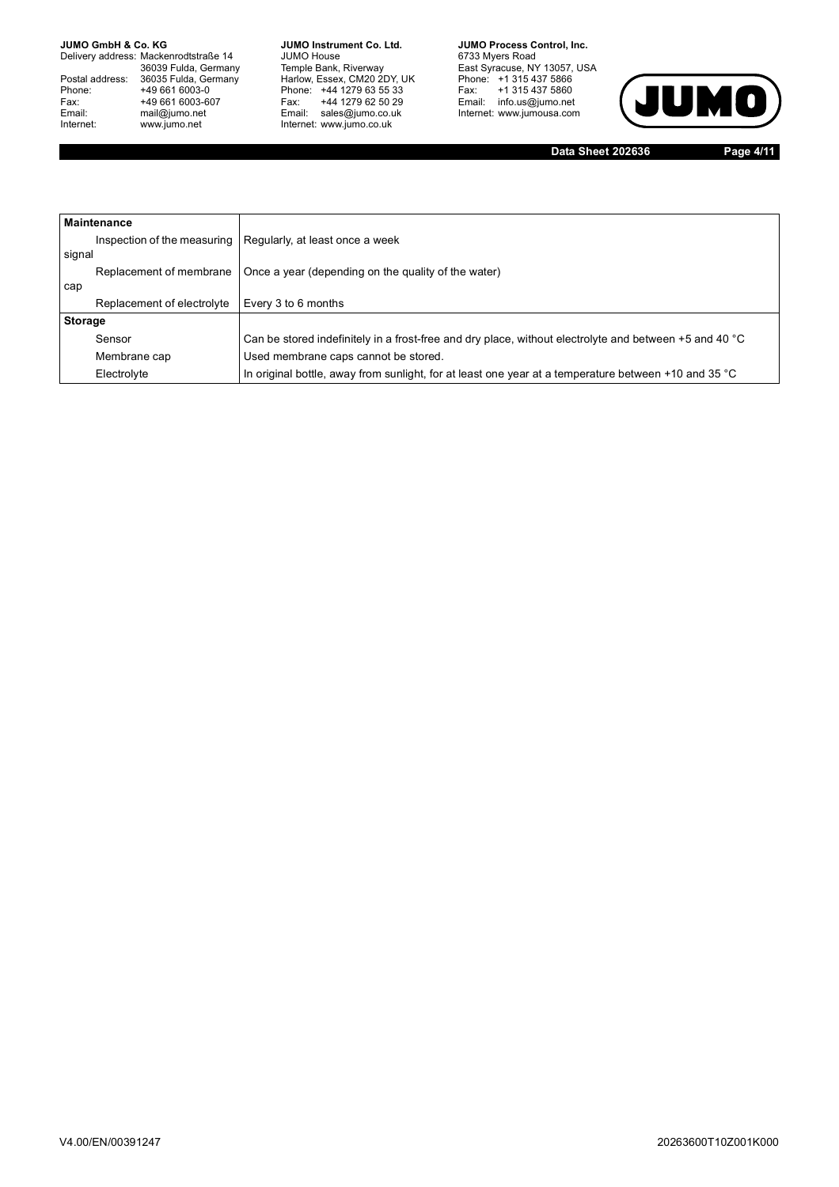Delivery address: Mackenrodtstraße 14 36039 Fulda, Germany<br>Postal address: 36035 Fulda, Germany Phone: +49 661 6003-0<br>
Fax: +49 661 6003-6<br>
Email: mail@jumo.net +49 661 6003-607 Email: mail@jumo.net<br>Internet: www.iumo.net www.jumo.net

**JUMO Instrument Co. Ltd.** JUMO House Temple Bank, Riverway<br>Harlow, Essex, CM20 2DY, UK<br>Phone: +44 1279 63 55 33 Fax: +44 1279 62 50 29 Fax: +44 1279 62 50 29<br>Email: sales@jumo.co.uk Internet: www.jumo.co.uk

**JUMO Process Control, Inc.** 6733 Myers Road East Syracuse, NY 13057, USA<br>Phone: +1 315 437 5866<br>Fax: +1 315 437 5860 Email: info.us@jumo.net Internet: www.jumousa.com



**Data Sheet 202636 Page 4/11**

|                             | <b>Maintenance</b>                                                             |                                                                                                        |  |  |
|-----------------------------|--------------------------------------------------------------------------------|--------------------------------------------------------------------------------------------------------|--|--|
| Inspection of the measuring |                                                                                | Regularly, at least once a week                                                                        |  |  |
| signal                      |                                                                                |                                                                                                        |  |  |
|                             | Replacement of membrane<br>Once a year (depending on the quality of the water) |                                                                                                        |  |  |
| cap                         |                                                                                |                                                                                                        |  |  |
|                             | Replacement of electrolyte                                                     | Every 3 to 6 months                                                                                    |  |  |
| <b>Storage</b>              |                                                                                |                                                                                                        |  |  |
|                             | Sensor                                                                         | Can be stored indefinitely in a frost-free and dry place, without electrolyte and between +5 and 40 °C |  |  |
|                             | Membrane cap                                                                   | Used membrane caps cannot be stored.                                                                   |  |  |
|                             | Electrolyte                                                                    | In original bottle, away from sunlight, for at least one year at a temperature between +10 and 35 °C   |  |  |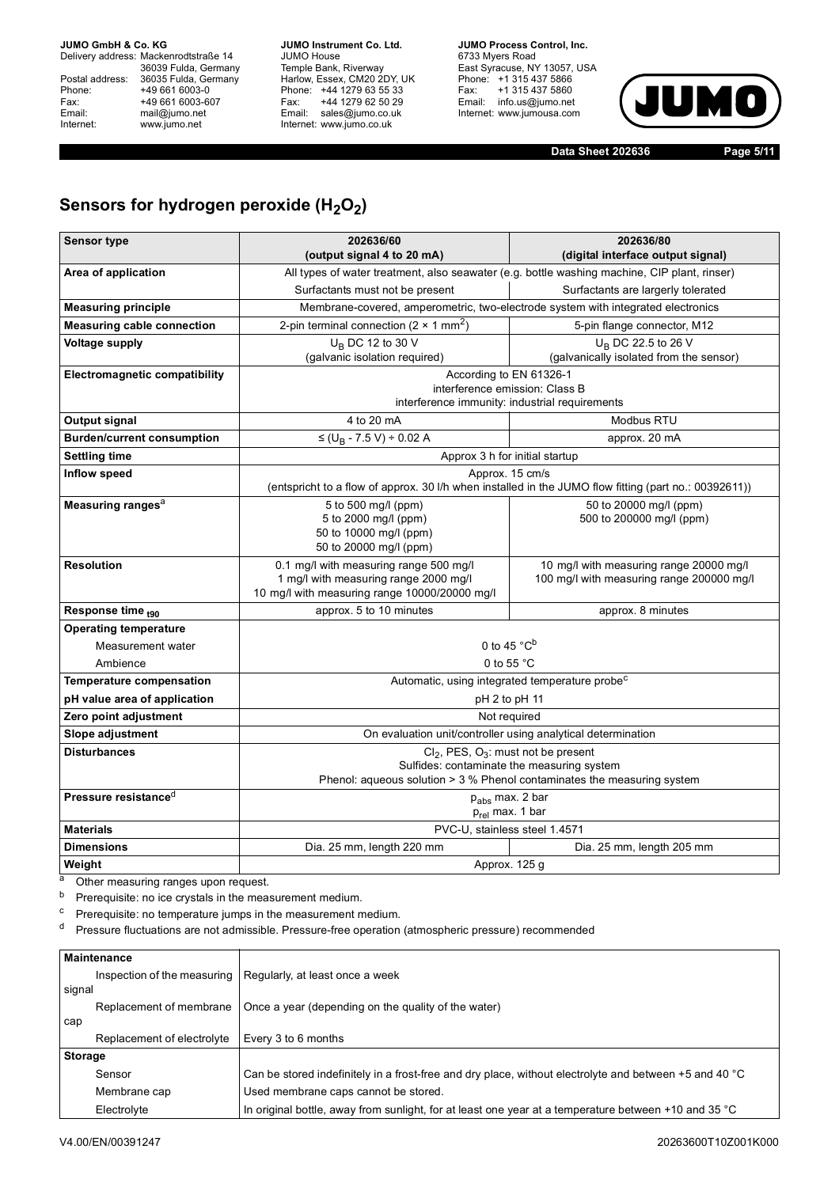Delivery address: Mackenrodtstraße 14 36039 Fulda, Germany<br>Postal address: 36035 Fulda, Germany Phone: +49 661 6003-0<br>
Fax: +49 661 6003-6<br>
Email: mail@jumo.net +49 661 6003-607 Email: mail@jumo.net<br>Internet: www.iumo.net www.jumo.net

**JUMO Instrument Co. Ltd.** JUMO House Temple Bank, Riverway<br>Harlow, Essex, CM20 2DY, UK Phone: +44 1279 63 55 33<br>Fax: +44 1279 62 50 29 +44 1279 62 50 29 Email: sales@jumo.co.uk Internet: www.jumo.co.uk

**JUMO Process Control, Inc.** 6733 Myers Road East Syracuse, NY 13057, USA<br>Phone: +1 315 437 5866<br>Fax: +1 315 437 5860 rax. Trists 457 5000 Internet: www.jumousa.com



**Data Sheet 202636 Page 5/11**

## Sensors for hydrogen peroxide (H<sub>2</sub>O<sub>2</sub>)

| <b>Sensor type</b>                   | 202636/60<br>202636/80                                                                       |                                                                                                       |  |  |  |
|--------------------------------------|----------------------------------------------------------------------------------------------|-------------------------------------------------------------------------------------------------------|--|--|--|
|                                      | (output signal 4 to 20 mA)<br>(digital interface output signal)                              |                                                                                                       |  |  |  |
| Area of application                  | All types of water treatment, also seawater (e.g. bottle washing machine, CIP plant, rinser) |                                                                                                       |  |  |  |
|                                      | Surfactants must not be present<br>Surfactants are largerly tolerated                        |                                                                                                       |  |  |  |
| <b>Measuring principle</b>           |                                                                                              | Membrane-covered, amperometric, two-electrode system with integrated electronics                      |  |  |  |
| <b>Measuring cable connection</b>    | 2-pin terminal connection (2 $\times$ 1 mm <sup>2</sup> )                                    | 5-pin flange connector, M12                                                                           |  |  |  |
| <b>Voltage supply</b>                | $U_B$ DC 12 to 30 V                                                                          | U <sub>B</sub> DC 22.5 to 26 V                                                                        |  |  |  |
|                                      | (galvanic isolation required)                                                                | (galvanically isolated from the sensor)                                                               |  |  |  |
| <b>Electromagnetic compatibility</b> | According to EN 61326-1                                                                      |                                                                                                       |  |  |  |
|                                      | interference emission: Class B                                                               |                                                                                                       |  |  |  |
|                                      | interference immunity: industrial requirements                                               | Modbus RTU                                                                                            |  |  |  |
| Output signal                        | 4 to 20 mA                                                                                   |                                                                                                       |  |  |  |
| <b>Burden/current consumption</b>    | $\leq$ (U <sub>B</sub> - 7.5 V) ÷ 0.02 A                                                     | approx. 20 mA                                                                                         |  |  |  |
| <b>Settling time</b>                 | Approx 3 h for initial startup                                                               |                                                                                                       |  |  |  |
| <b>Inflow speed</b>                  | Approx. 15 cm/s                                                                              |                                                                                                       |  |  |  |
|                                      |                                                                                              | (entspricht to a flow of approx. 30 I/h when installed in the JUMO flow fitting (part no.: 00392611)) |  |  |  |
| Measuring ranges <sup>a</sup>        | 5 to 500 mg/l (ppm)<br>5 to 2000 mg/l (ppm)                                                  | 50 to 20000 mg/l (ppm)<br>500 to 200000 mg/l (ppm)                                                    |  |  |  |
|                                      | 50 to 10000 mg/l (ppm)                                                                       |                                                                                                       |  |  |  |
|                                      | 50 to 20000 mg/l (ppm)                                                                       |                                                                                                       |  |  |  |
| <b>Resolution</b>                    | 0.1 mg/l with measuring range 500 mg/l                                                       | 10 mg/l with measuring range 20000 mg/l                                                               |  |  |  |
|                                      | 1 mg/l with measuring range 2000 mg/l                                                        | 100 mg/l with measuring range 200000 mg/l                                                             |  |  |  |
|                                      | 10 mg/l with measuring range 10000/20000 mg/l                                                |                                                                                                       |  |  |  |
| Response time <sub>t90</sub>         | approx. 5 to 10 minutes<br>approx. 8 minutes                                                 |                                                                                                       |  |  |  |
| <b>Operating temperature</b>         |                                                                                              |                                                                                                       |  |  |  |
| Measurement water                    | 0 to 45 $^{\circ}$ C <sup>b</sup>                                                            |                                                                                                       |  |  |  |
| Ambience                             | 0 to 55 °C                                                                                   |                                                                                                       |  |  |  |
| <b>Temperature compensation</b>      | Automatic, using integrated temperature probe <sup>c</sup>                                   |                                                                                                       |  |  |  |
| pH value area of application         | pH 2 to pH 11                                                                                |                                                                                                       |  |  |  |
| Zero point adjustment                |                                                                                              | Not required                                                                                          |  |  |  |
| Slope adjustment                     | On evaluation unit/controller using analytical determination                                 |                                                                                                       |  |  |  |
| <b>Disturbances</b>                  | $Cl_2$ , PES, O <sub>3</sub> : must not be present                                           |                                                                                                       |  |  |  |
|                                      | Sulfides: contaminate the measuring system                                                   |                                                                                                       |  |  |  |
|                                      | Phenol: aqueous solution $>$ 3 % Phenol contaminates the measuring system                    |                                                                                                       |  |  |  |
| Pressure resistance <sup>d</sup>     | p <sub>abs</sub> max. 2 bar                                                                  |                                                                                                       |  |  |  |
| <b>Materials</b>                     | $p_{rel}$ max. 1 bar                                                                         |                                                                                                       |  |  |  |
|                                      | PVC-U, stainless steel 1.4571                                                                |                                                                                                       |  |  |  |
| <b>Dimensions</b>                    | Dia. 25 mm, length 220 mm<br>Dia. 25 mm, length 205 mm                                       |                                                                                                       |  |  |  |
| Weight                               | Approx. 125 g                                                                                |                                                                                                       |  |  |  |

a Other measuring ranges upon request.

b Prerequisite: no ice crystals in the measurement medium.

<sup>c</sup> Prerequisite: no temperature jumps in the measurement medium.

<sup>d</sup> Pressure fluctuations are not admissible. Pressure-free operation (atmospheric pressure) recommended

|                | Maintenance                 |                                                                                                        |
|----------------|-----------------------------|--------------------------------------------------------------------------------------------------------|
|                | Inspection of the measuring | Regularly, at least once a week                                                                        |
| signal         |                             |                                                                                                        |
|                | Replacement of membrane     | Once a year (depending on the quality of the water)                                                    |
| cap            |                             |                                                                                                        |
|                | Replacement of electrolyte  | Every 3 to 6 months                                                                                    |
| <b>Storage</b> |                             |                                                                                                        |
|                | Sensor                      | Can be stored indefinitely in a frost-free and dry place, without electrolyte and between +5 and 40 °C |
|                | Membrane cap                | Used membrane caps cannot be stored.                                                                   |
|                | Electrolyte                 | In original bottle, away from sunlight, for at least one year at a temperature between +10 and 35 °C   |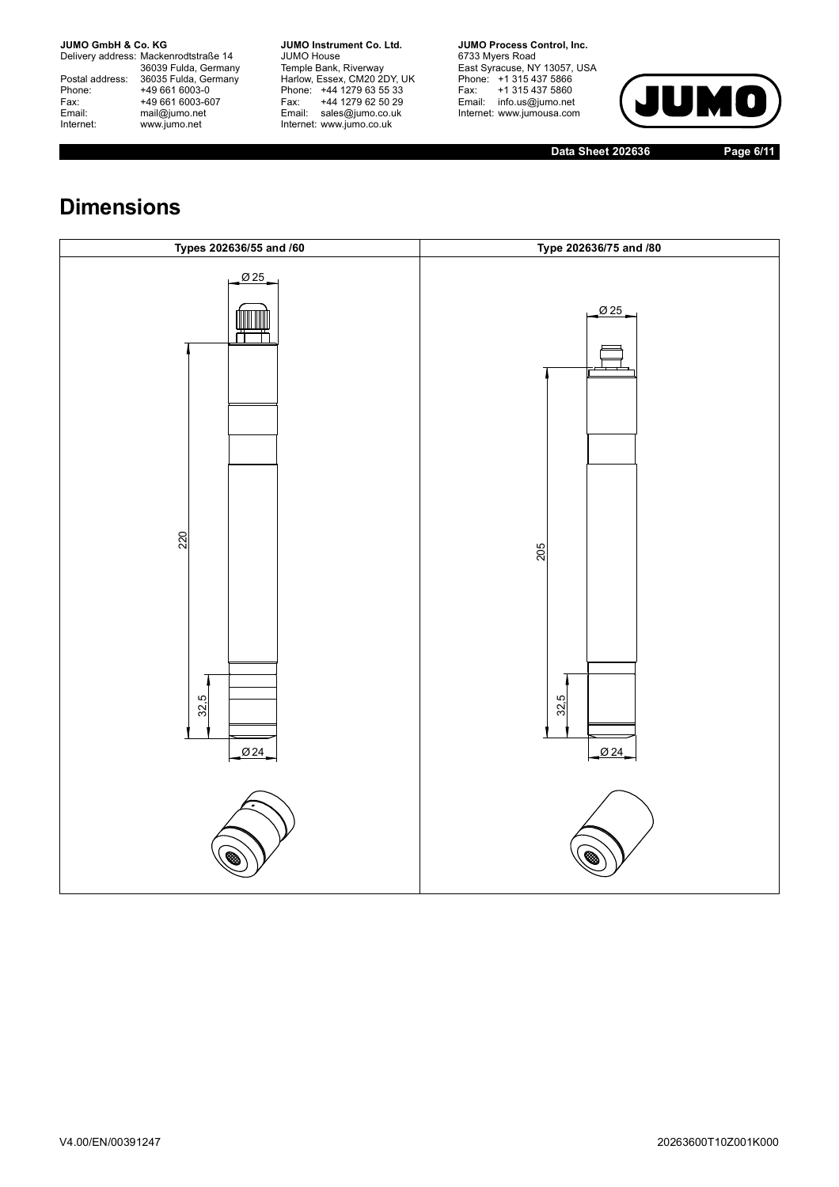Delivery address: Mackenrodtstraße 14 36039 Fulda, Germany<br>Postal address: 36035 Fulda, Germany Phone: +49 661 6003-0<br>
Fax: +49 661 6003-6<br>
Email: mail@jumo.net +49 661 6003-607 Email: mail@jumo.net<br>Internet: www.iumo.net www.jumo.net

**JUMO Instrument Co. Ltd.** JUMO House Temple Bank, Riverway<br>Harlow, Essex, CM20 2DY, UK<br>Phone: +44 1279 63 55 33 Fax: +44 1279 62 50 29 Email: sales@jumo.co.uk Internet: www.jumo.co.uk

**JUMO Process Control, Inc.** 6733 Myers Road East Syracuse, NY 13057, USA<br>Phone: +1 315 437 5866<br>Fax: +1 315 437 5860 rax. Trists 457 5000 Internet: www.jumousa.com



**Data Sheet 202636 Page 6/11**

# **Dimensions**

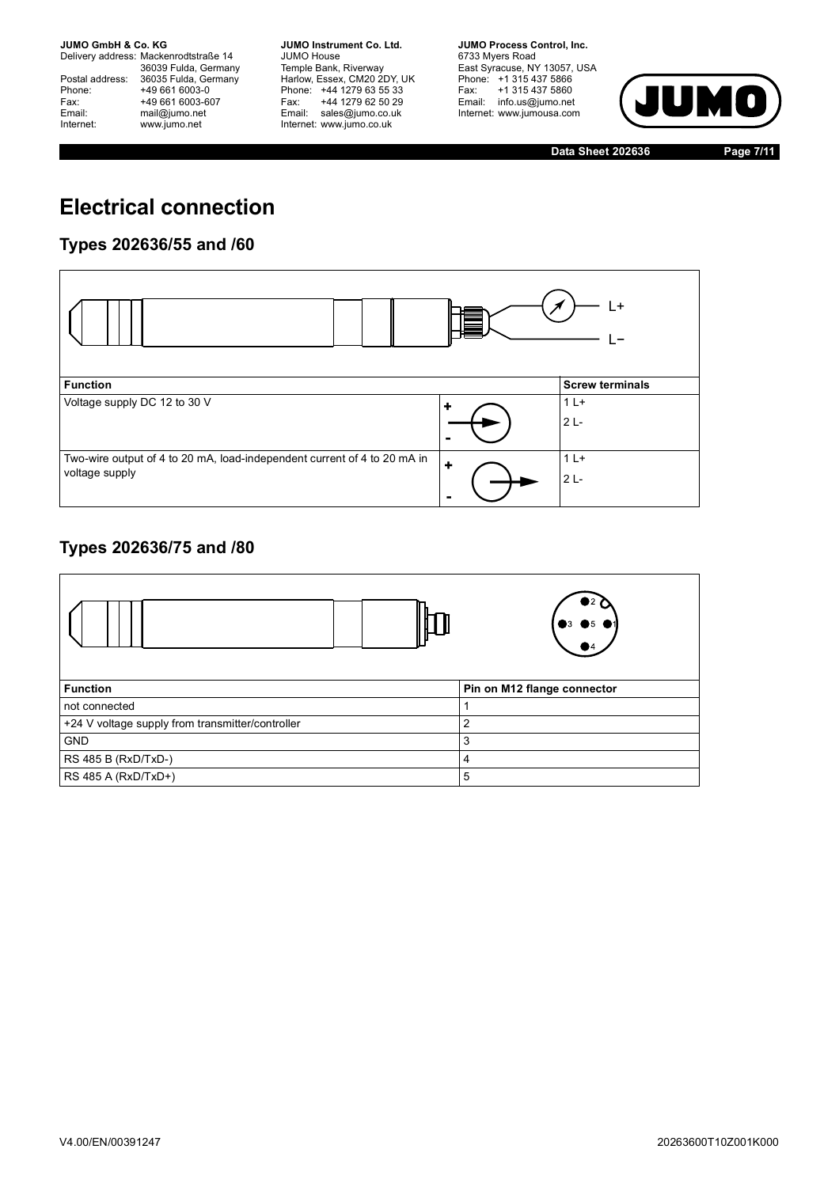Delivery address: Mackenrodtstraße 14 36039 Fulda, Germany<br>Postal address: 36035 Fulda, Germany Phone: +49 661 6003-0<br>
Fax: +49 661 6003-6<br>
Email: mail@jumo.net +49 661 6003-607 Email: mail@jumo.net<br>Internet: www.iumo.net www.jumo.net

**JUMO Instrument Co. Ltd.** JUMO House Temple Bank, Riverway<br>Harlow, Essex, CM20 2DY, UK Phone: +44 1279 63 55 33<br>Fax: +44 1279 62 50 29 Fax: +44 1279 62 50 29<br>Email: sales@jumo.co.uk Internet: www.jumo.co.uk

**JUMO Process Control, Inc.** 6733 Myers Road East Syracuse, NY 13057, USA<br>Phone: +1 315 437 5866<br>Fax: +1 315 437 5860 Email: info.us@jumo.net Internet: www.jumousa.com



**Data Sheet 202636 Page 7/11**

# **Electrical connection**

### **Types 202636/55 and /60**

|                                                                          |                      | L+                     |
|--------------------------------------------------------------------------|----------------------|------------------------|
| <b>Function</b>                                                          |                      | <b>Screw terminals</b> |
| Voltage supply DC 12 to 30 V                                             | ÷                    | $1L+$                  |
|                                                                          |                      | $2L -$                 |
|                                                                          |                      |                        |
| Two-wire output of 4 to 20 mA, load-independent current of 4 to 20 mA in | $\ddot{\phantom{1}}$ | $1L+$                  |
| voltage supply                                                           |                      | $2L -$                 |
|                                                                          |                      |                        |

### **Types 202636/75 and /80**

|                                                  | $3 \bullet 5$               |
|--------------------------------------------------|-----------------------------|
| <b>Function</b>                                  | Pin on M12 flange connector |
| not connected                                    |                             |
| +24 V voltage supply from transmitter/controller | 2                           |
| <b>GND</b>                                       | 3                           |
| RS 485 B (RxD/TxD-)                              | 4                           |
| RS 485 A (RxD/TxD+)                              | 5                           |
|                                                  |                             |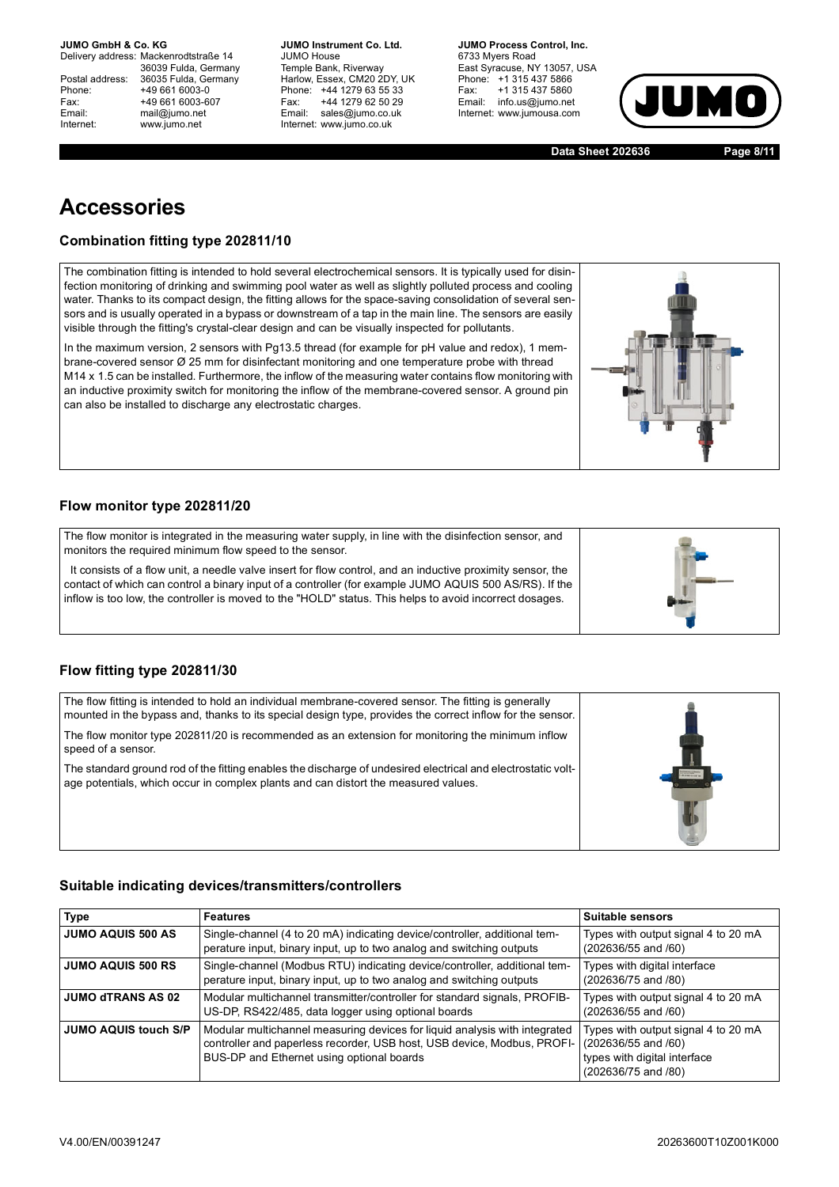Delivery address: Mackenrodtstraße 14 36039 Fulda, Germany Postal address: 36035 Fulda, Germany<br>Phone: +49 661 6003-0 Phone: +49 661 6003-0<br>
Fax: +49 661 6003-6<br>
Email: mail@jumo.net +49 661 6003-607 mail@jumo.net Internet: www.jumo.net

**JUMO Instrument Co. Ltd.** JUMO House Temple Bank, Riverway<br>Harlow, Essex, CM20 2DY, UK Phone: +44 1279 63 55 33<br>Fax: +44 1279 62 50 29 +44 1279 62 50 29 Email: sales@jumo.co.uk Internet: www.jumo.co.uk

**JUMO Process Control, Inc.** 6733 Mvers Road East Syracuse, NY 13057, USA Phone: +1 315 437 5866<br>Fax: +1 315 437 5860 +1 315 437 5860 Email: info.us@jumo.net Internet: www.jumousa.com



**Data Sheet 202636 Page 8/11**

## **Accessories**

### **Combination fitting type 202811/10**

The combination fitting is intended to hold several electrochemical sensors. It is typically used for disinfection monitoring of drinking and swimming pool water as well as slightly polluted process and cooling water. Thanks to its compact design, the fitting allows for the space-saving consolidation of several sensors and is usually operated in a bypass or downstream of a tap in the main line. The sensors are easily visible through the fitting's crystal-clear design and can be visually inspected for pollutants.

In the maximum version, 2 sensors with Pg13.5 thread (for example for pH value and redox), 1 membrane-covered sensor Ø 25 mm for disinfectant monitoring and one temperature probe with thread M14 x 1.5 can be installed. Furthermore, the inflow of the measuring water contains flow monitoring with an inductive proximity switch for monitoring the inflow of the membrane-covered sensor. A ground pin can also be installed to discharge any electrostatic charges.

### **Flow monitor type 202811/20**

| The flow monitor is integrated in the measuring water supply, in line with the disinfection sensor, and<br>monitors the required minimum flow speed to the sensor.                                                                                                                                                              |  |
|---------------------------------------------------------------------------------------------------------------------------------------------------------------------------------------------------------------------------------------------------------------------------------------------------------------------------------|--|
| It consists of a flow unit, a needle valve insert for flow control, and an inductive proximity sensor, the<br>contact of which can control a binary input of a controller (for example JUMO AQUIS 500 AS/RS). If the<br>inflow is too low, the controller is moved to the "HOLD" status. This helps to avoid incorrect dosages. |  |

#### **Flow fitting type 202811/30**

| The flow fitting is intended to hold an individual membrane-covered sensor. The fitting is generally<br>mounted in the bypass and, thanks to its special design type, provides the correct inflow for the sensor. |  |
|-------------------------------------------------------------------------------------------------------------------------------------------------------------------------------------------------------------------|--|
| The flow monitor type 202811/20 is recommended as an extension for monitoring the minimum inflow<br>speed of a sensor.                                                                                            |  |
| The standard ground rod of the fitting enables the discharge of undesired electrical and electrostatic volt-<br>age potentials, which occur in complex plants and can distort the measured values.                |  |
|                                                                                                                                                                                                                   |  |
|                                                                                                                                                                                                                   |  |

#### <span id="page-7-0"></span>**Suitable indicating devices/transmitters/controllers**

| <b>Type</b>                 | <b>Features</b>                                                                                                                                                                                    | Suitable sensors                                                                                                  |
|-----------------------------|----------------------------------------------------------------------------------------------------------------------------------------------------------------------------------------------------|-------------------------------------------------------------------------------------------------------------------|
| <b>JUMO AQUIS 500 AS</b>    | Single-channel (4 to 20 mA) indicating device/controller, additional tem-<br>perature input, binary input, up to two analog and switching outputs                                                  | Types with output signal 4 to 20 mA<br>(202636/55 and /60)                                                        |
| <b>JUMO AQUIS 500 RS</b>    | Single-channel (Modbus RTU) indicating device/controller, additional tem-<br>perature input, binary input, up to two analog and switching outputs                                                  | Types with digital interface<br>(202636/75 and /80)                                                               |
| <b>JUMO dTRANS AS 02</b>    | Modular multichannel transmitter/controller for standard signals, PROFIB-<br>US-DP, RS422/485, data logger using optional boards                                                                   | Types with output signal 4 to 20 mA<br>(202636/55 and /60)                                                        |
| <b>JUMO AQUIS touch S/P</b> | Modular multichannel measuring devices for liquid analysis with integrated<br>controller and paperless recorder, USB host, USB device, Modbus, PROFI-<br>BUS-DP and Ethernet using optional boards | Types with output signal 4 to 20 mA<br>(202636/55 and /60)<br>types with digital interface<br>(202636/75 and /80) |

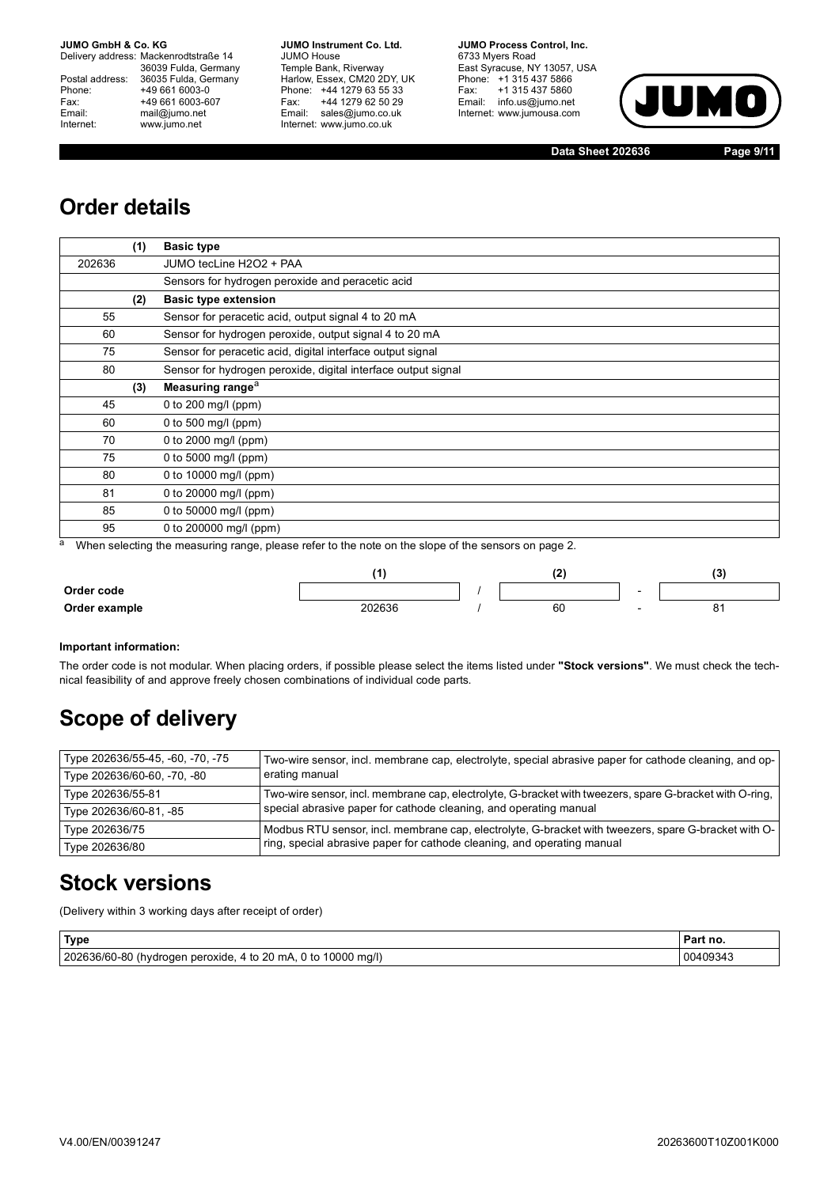Delivery address: Mackenrodtstraße 14 36039 Fulda, Germany<br>Postal address: 36035 Fulda, Germany Phone: +49 661 6003-0<br>
Fax: +49 661 6003-6<br>
Email: mail@jumo.net +49 661 6003-607 mail@jumo.net Internet: www.jumo.net

**JUMO Instrument Co. Ltd.** JUMO House Temple Bank, Riverway<br>Harlow, Essex, CM20 2DY, UK Phone: +44 1279 63 55 33<br>Fax: +44 1279 62 50 29 +44 1279 62 50 29 Email: sales@jumo.co.uk Internet: www.jumo.co.uk

**JUMO Process Control, Inc.** 6733 Myers Road East Syracuse, NY 13057, USA Phone: +1 315 437 5866<br>Fax: +1 315 437 5860 Email: info.us@jumo.net Internet: www.jumousa.com



**Data Sheet 202636 Page 9/11**

# **Order details**

|        | (1) | <b>Basic type</b>                                             |
|--------|-----|---------------------------------------------------------------|
| 202636 |     | JUMO tecLine H2O2 + PAA                                       |
|        |     | Sensors for hydrogen peroxide and peracetic acid              |
|        | (2) | <b>Basic type extension</b>                                   |
| 55     |     | Sensor for peracetic acid, output signal 4 to 20 mA           |
| 60     |     | Sensor for hydrogen peroxide, output signal 4 to 20 mA        |
| 75     |     | Sensor for peracetic acid, digital interface output signal    |
| 80     |     | Sensor for hydrogen peroxide, digital interface output signal |
|        | (3) | Measuring range <sup>a</sup>                                  |
| 45     |     | 0 to 200 mg/l (ppm)                                           |
| 60     |     | 0 to 500 mg/l (ppm)                                           |
| 70     |     | 0 to 2000 mg/l (ppm)                                          |
| 75     |     | 0 to 5000 mg/l (ppm)                                          |
| 80     |     | 0 to 10000 mg/l (ppm)                                         |
| 81     |     | 0 to 20000 mg/l (ppm)                                         |
| 85     |     | 0 to 50000 mg/l (ppm)                                         |
| 95     |     | 0 to 200000 mg/l (ppm)                                        |

<sup>a</sup> When selecting the measuring range, please refer to the note on the slope of the sensors on page 2.

|               | .      | "  | . .<br>.             |
|---------------|--------|----|----------------------|
| Order code    |        |    |                      |
| Order example | 202636 | 60 | . .<br>ັບເ<br>$\sim$ |

#### **Important information:**

The order code is not modular. When placing orders, if possible please select the items listed under **"Stock versions"**. We must check the technical feasibility of and approve freely chosen combinations of individual code parts.

## **Scope of delivery**

| Type 202636/55-45, -60, -70, -75 | Two-wire sensor, incl. membrane cap, electrolyte, special abrasive paper for cathode cleaning, and op-  |
|----------------------------------|---------------------------------------------------------------------------------------------------------|
| Type 202636/60-60, -70, -80      | erating manual                                                                                          |
| Type 202636/55-81                | Two-wire sensor, incl. membrane cap, electrolyte, G-bracket with tweezers, spare G-bracket with O-ring, |
| Type 202636/60-81, -85           | special abrasive paper for cathode cleaning, and operating manual                                       |
| Type 202636/75                   | Modbus RTU sensor, incl. membrane cap, electrolyte, G-bracket with tweezers, spare G-bracket with O-    |
| Type 202636/80                   | ring, special abrasive paper for cathode cleaning, and operating manual                                 |

## **Stock versions**

(Delivery within 3 working days after receipt of order)

| Type                                                          | ' Part no. |
|---------------------------------------------------------------|------------|
| 202636/60-80 (hydrogen peroxide, 4 to 20 mA, 0 to 10000 mg/l) | 00409343   |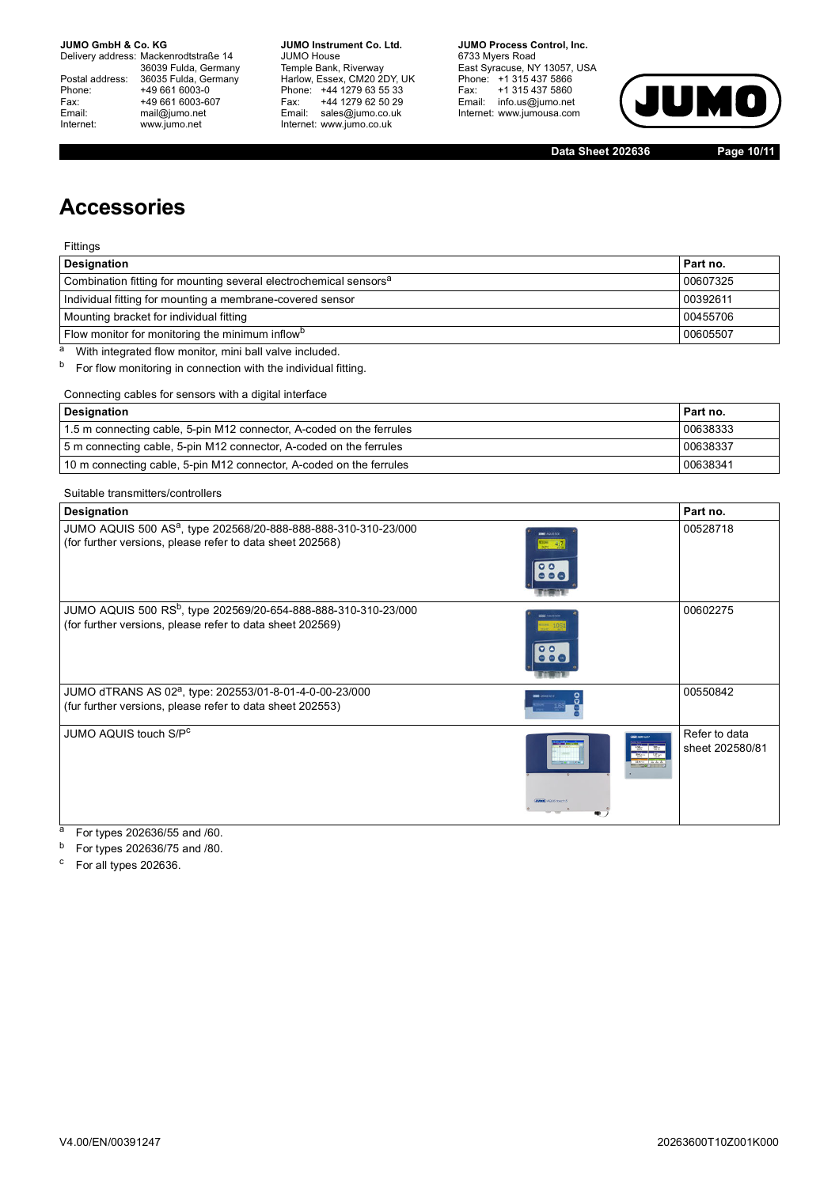Delivery address: Mackenrodtstraße 14 36039 Fulda, Germany<br>Postal address: 36035 Fulda, Germany Phone: +49 661 6003-0<br>
Fax: +49 661 6003-6<br>
Email: mail@jumo.net +49 661 6003-607 Email: mail@jumo.net<br>Internet: www.iumo.net www.jumo.net

**JUMO Instrument Co. Ltd.** JUMO House Temple Bank, Riverway<br>Harlow, Essex, CM20 2DY, UK Phone: +44 1279 63 55 33<br>Fax: +44 1279 62 50 29 +44 1279 62 50 29 Email: sales@jumo.co.uk Internet: www.jumo.co.uk

**JUMO Process Control, Inc.** 6733 Myers Road East Syracuse, NY 13057, USA Phone: +1 315 437 5866<br>Fax: +1 315 437 5860 rax. Tribitary 5000 Internet: www.jumousa.com



**Data Sheet 202636 Page 10/11**

## **Accessories**

Fittings

| <b>Designation</b>                                                            | Part no. |  |
|-------------------------------------------------------------------------------|----------|--|
| Combination fitting for mounting several electrochemical sensors <sup>a</sup> | 00607325 |  |
| Individual fitting for mounting a membrane-covered sensor<br>00392611         |          |  |
| Mounting bracket for individual fitting<br>00455706                           |          |  |
| Flow monitor for monitoring the minimum inflow <sup>b</sup>                   |          |  |

a With integrated flow monitor, mini ball valve included.

b For flow monitoring in connection with the individual fitting.

Connecting cables for sensors with a digital interface

| Designation                                                          | Part no. |
|----------------------------------------------------------------------|----------|
| 1.5 m connecting cable, 5-pin M12 connector, A-coded on the ferrules | 00638333 |
| 5 m connecting cable, 5-pin M12 connector, A-coded on the ferrules   |          |
| 10 m connecting cable, 5-pin M12 connector, A-coded on the ferrules  |          |

#### Suitable transmitters/controllers

| Designation                                                                                                                             |                            | Part no.                         |
|-----------------------------------------------------------------------------------------------------------------------------------------|----------------------------|----------------------------------|
| JUMO AQUIS 500 AS <sup>a</sup> , type 202568/20-888-888-888-310-310-23/000<br>(for further versions, please refer to data sheet 202568) | $-41$<br>$\Omega$ $\Omega$ | 00528718                         |
| JUMO AQUIS 500 RS <sup>b</sup> , type 202569/20-654-888-888-310-310-23/000<br>(for further versions, please refer to data sheet 202569) | $-405$<br>$\Omega$         | 00602275                         |
| JUMO dTRANS AS 02 <sup>a</sup> , type: 202553/01-8-01-4-0-00-23/000<br>(fur further versions, please refer to data sheet 202553)        |                            | 00550842                         |
| JUMO AQUIS touch S/P <sup>c</sup>                                                                                                       | <b>COLLOUS touch:</b>      | Refer to data<br>sheet 202580/81 |

<sup>a</sup> For types 202636/55 and /60.

 $b$  For types 202636/75 and /80.

<sup>c</sup> For all types 202636.